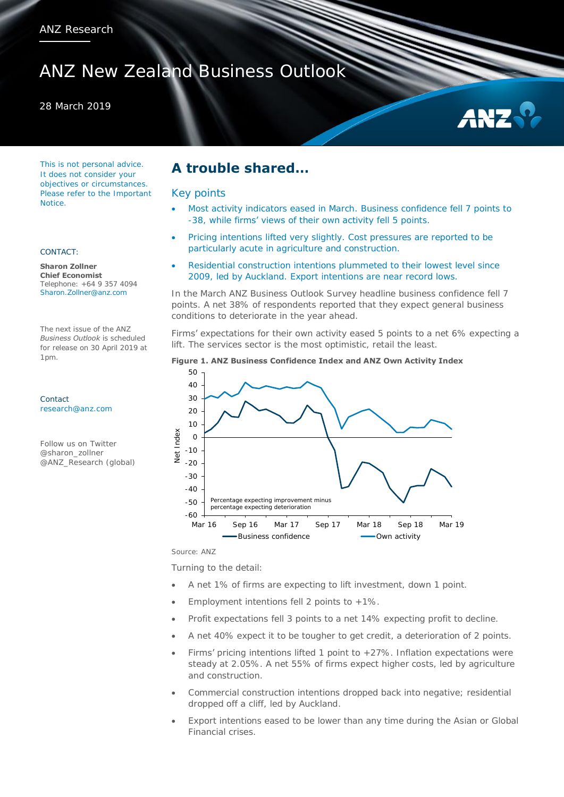# ANZ New Zealand Business Outlook

### 28 March 2019



This is not personal advice. It does not consider your objectives or circumstances. Please refer to the Important Notice.

### CONTACT:

**Sharon Zollner Chief Economist**  Telephone: +64 9 357 4094 Sharon.Zollner@anz.com

The next issue of the ANZ *Business Outlook* is scheduled for release on 30 April 2019 at 1pm.

Contact [research@anz.com](mailto:research@anz.com)

Follow us on Twitter @sharon\_zollner @ANZ\_Research (global)

## **A trouble shared…**

### Key points

- Most activity indicators eased in March. Business confidence fell 7 points to -38, while firms' views of their own activity fell 5 points.
- Pricing intentions lifted very slightly. Cost pressures are reported to be particularly acute in agriculture and construction.
- Residential construction intentions plummeted to their lowest level since 2009, led by Auckland. Export intentions are near record lows.

In the March ANZ Business Outlook Survey headline business confidence fell 7 points. A net 38% of respondents reported that they expect general business conditions to deteriorate in the year ahead.

Firms' expectations for their own activity eased 5 points to a net 6% expecting a lift. The services sector is the most optimistic, retail the least.



Source: ANZ

Turning to the detail:

- A net 1% of firms are expecting to lift investment, down 1 point.
- Employment intentions fell 2 points to  $+1\%$ .
- Profit expectations fell 3 points to a net 14% expecting profit to decline.
- A net 40% expect it to be tougher to get credit, a deterioration of 2 points.
- Firms' pricing intentions lifted 1 point to  $+27\%$ . Inflation expectations were steady at 2.05%. A net 55% of firms expect higher costs, led by agriculture and construction.
- Commercial construction intentions dropped back into negative; residential dropped off a cliff, led by Auckland.
- Export intentions eased to be lower than any time during the Asian or Global Financial crises.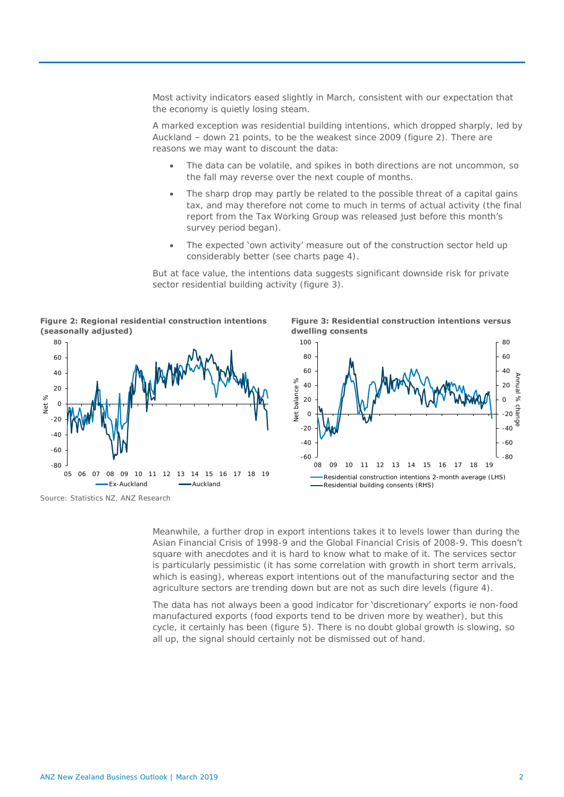Most activity indicators eased slightly in March, consistent with our expectation that the economy is quietly losing steam.

A marked exception was residential building intentions, which dropped sharply, led by Auckland – down 21 points, to be the weakest since 2009 (figure 2). There are reasons we may want to discount the data:

- The data can be volatile, and spikes in both directions are not uncommon, so the fall may reverse over the next couple of months.
- The sharp drop may partly be related to the possible threat of a capital gains tax, and may therefore not come to much in terms of actual activity (the final report from the Tax Working Group was released just before this month's survey period began).
- The expected 'own activity' measure out of the construction sector held up considerably better (see charts page 4).

But at face value, the intentions data suggests significant downside risk for private sector residential building activity (figure 3).

**Figure 2: Regional residential construction intentions (seasonally adjusted)**



Source: Statistics NZ, ANZ Research

**Figure 3: Residential construction intentions versus dwelling consents**



Meanwhile, a further drop in export intentions takes it to levels lower than during the Asian Financial Crisis of 1998-9 and the Global Financial Crisis of 2008-9. This doesn't square with anecdotes and it is hard to know what to make of it. The services sector is particularly pessimistic (it has some correlation with growth in short term arrivals, which is easing), whereas export intentions out of the manufacturing sector and the agriculture sectors are trending down but are not as such dire levels (figure 4).

The data has not always been a good indicator for 'discretionary' exports ie non-food manufactured exports (food exports tend to be driven more by weather), but this cycle, it certainly has been (figure 5). There is no doubt global growth is slowing, so all up, the signal should certainly not be dismissed out of hand.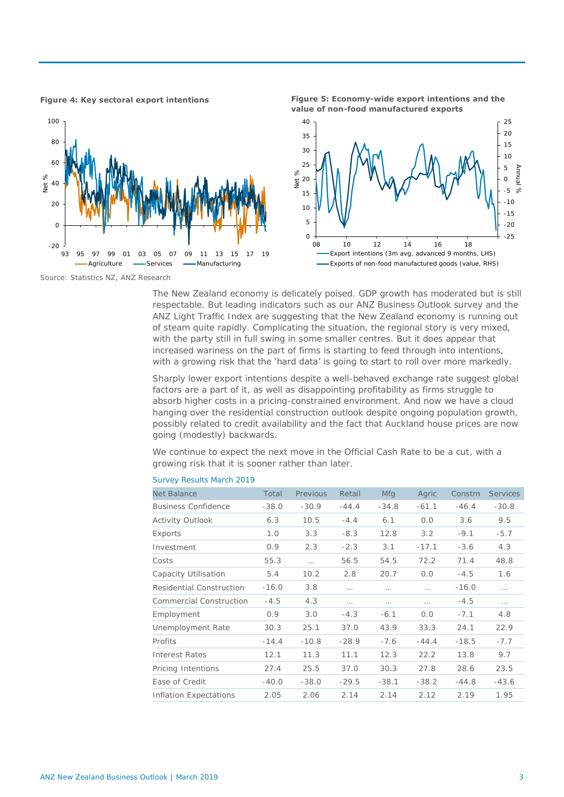

**Figure 4: Key sectoral export intentions Figure 5: Economy-wide export intentions and the value of non-food manufactured exports**



Source: Statistics NZ, ANZ Research

The New Zealand economy is delicately poised. GDP growth has moderated but is still respectable. But leading indicators such as our ANZ Business Outlook survey and the ANZ Light Traffic Index are suggesting that the New Zealand economy is running out of steam quite rapidly. Complicating the situation, the regional story is very mixed, with the party still in full swing in some smaller centres. But it does appear that increased wariness on the part of firms is starting to feed through into intentions, with a growing risk that the 'hard data' is going to start to roll over more markedly.

Sharply lower export intentions despite a well-behaved exchange rate suggest global factors are a part of it, as well as disappointing profitability as firms struggle to absorb higher costs in a pricing-constrained environment. And now we have a cloud hanging over the residential construction outlook despite ongoing population growth, possibly related to credit availability and the fact that Auckland house prices are now going (modestly) backwards.

We continue to expect the next move in the Official Cash Rate to be a cut, with a growing risk that it is sooner rather than later.

|         | Previous | Retail   | Mfg      | Agric    | Constrn | <b>Services</b> |
|---------|----------|----------|----------|----------|---------|-----------------|
| $-38.0$ | $-30.9$  | $-44.4$  | $-34.8$  | $-61.1$  | $-46.4$ | $-30.8$         |
| 6.3     | 10.5     | $-4.4$   | 6.1      | 0.0      | 3.6     | 9.5             |
| 1.0     | 3.3      | $-8.3$   | 12.8     | 3.2      | $-9.1$  | $-5.7$          |
| 0.9     | 2.3      | $-2.3$   | 3.1      | $-17.1$  | $-3.6$  | 4.3             |
| 55.3    | $\cdots$ | 56.5     | 54.5     | 72.2     | 71.4    | 48.8            |
| 5.4     | 10.2     | 2.8      | 20.7     | 0.0      | $-4.5$  | 1.6             |
| $-16.0$ | 3.8      | $\cdots$ | $\cdots$ | $\cdots$ | $-16.0$ | $\cdots$        |
| $-4.5$  | 4.3      | $\cdots$ | $\cdots$ |          | $-4.5$  |                 |
| 0.9     | 3.0      | $-4.3$   | $-6.1$   | 0.0      | $-7.1$  | 4.8             |
| 30.3    | 25.1     | 37.0     | 43.9     | 33.3     | 24.1    | 22.9            |
| $-14.4$ | $-10.8$  | $-28.9$  | $-7.6$   | $-44.4$  | $-18.5$ | $-7.7$          |
| 12.1    | 11.3     | 11.1     | 12.3     | 22.2     | 13.8    | 9.7             |
| 27.4    | 25.5     | 37.0     | 30.3     | 27.8     | 28.6    | 23.5            |
| $-40.0$ | $-38.0$  | $-29.5$  | $-38.1$  | $-38.2$  | $-44.8$ | $-43.6$         |
| 2.05    | 2.06     | 2.14     | 2.14     | 2.12     | 2.19    | 1.95            |
|         |          |          |          |          |         |                 |

### Survey Results March 2019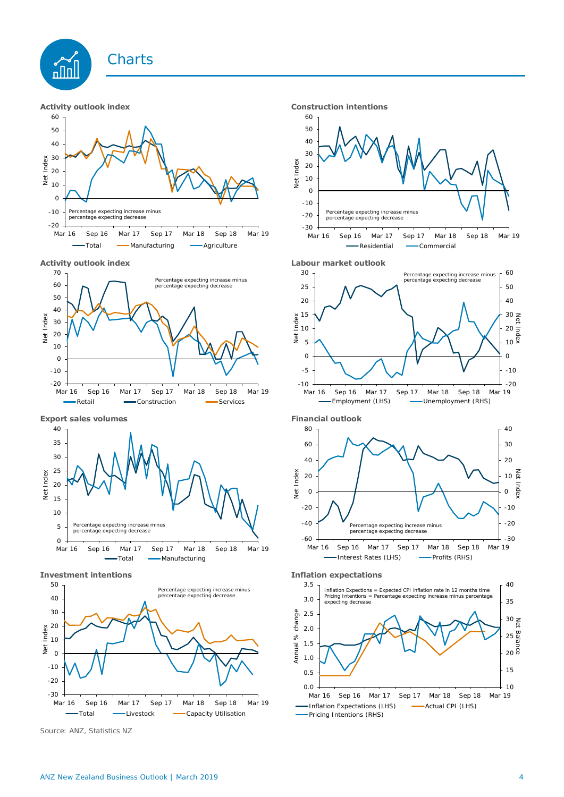

### **Activity outlook index CONSIDER 10 Activity outlook index**













Source: ANZ, Statistics NZ





### **Activity outlook index Labour market outlook**









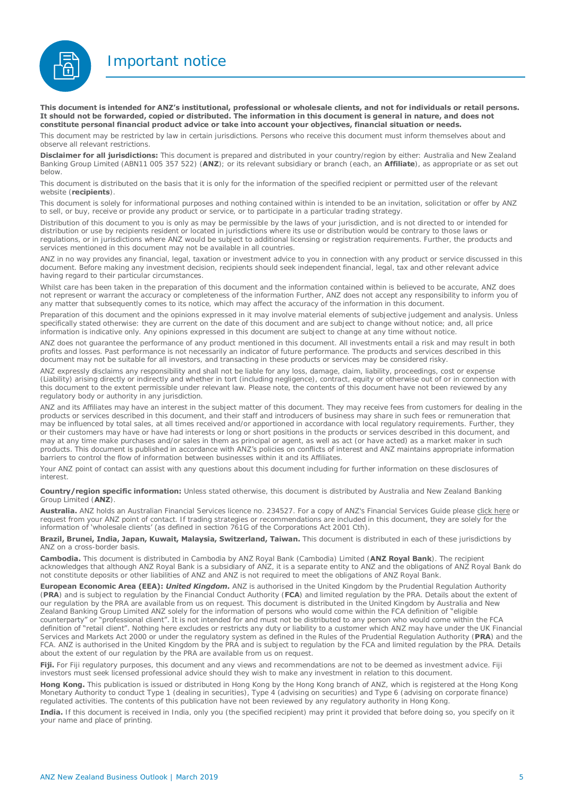Important notice



**This document is intended for ANZ's institutional, professional or wholesale clients, and not for individuals or retail persons. It should not be forwarded, copied or distributed. The information in this document is general in nature, and does not constitute personal financial product advice or take into account your objectives, financial situation or needs.** 

This document may be restricted by law in certain jurisdictions. Persons who receive this document must inform themselves about and observe all relevant restrictions.

**Disclaimer for all jurisdictions:** This document is prepared and distributed in your country/region by either: Australia and New Zealand Banking Group Limited (ABN11 005 357 522) (**ANZ**); or its relevant subsidiary or branch (each, an **Affiliate**), as appropriate or as set out below.

This document is distributed on the basis that it is only for the information of the specified recipient or permitted user of the relevant website (**recipients**).

This document is solely for informational purposes and nothing contained within is intended to be an invitation, solicitation or offer by ANZ to sell, or buy, receive or provide any product or service, or to participate in a particular trading strategy.

Distribution of this document to you is only as may be permissible by the laws of your jurisdiction, and is not directed to or intended for distribution or use by recipients resident or located in jurisdictions where its use or distribution would be contrary to those laws or regulations, or in jurisdictions where ANZ would be subject to additional licensing or registration requirements. Further, the products and services mentioned in this document may not be available in all countries.

ANZ in no way provides any financial, legal, taxation or investment advice to you in connection with any product or service discussed in this document. Before making any investment decision, recipients should seek independent financial, legal, tax and other relevant advice having regard to their particular circumstances.

Whilst care has been taken in the preparation of this document and the information contained within is believed to be accurate. ANZ does not represent or warrant the accuracy or completeness of the information Further, ANZ does not accept any responsibility to inform you of any matter that subsequently comes to its notice, which may affect the accuracy of the information in this document.

Preparation of this document and the opinions expressed in it may involve material elements of subjective judgement and analysis. Unless specifically stated otherwise: they are current on the date of this document and are subject to change without notice; and, all price information is indicative only. Any opinions expressed in this document are subject to change at any time without notice.

ANZ does not guarantee the performance of any product mentioned in this document. All investments entail a risk and may result in both profits and losses. Past performance is not necessarily an indicator of future performance. The products and services described in this document may not be suitable for all investors, and transacting in these products or services may be considered risky.

ANZ expressly disclaims any responsibility and shall not be liable for any loss, damage, claim, liability, proceedings, cost or expense (Liability) arising directly or indirectly and whether in tort (including negligence), contract, equity or otherwise out of or in connection with this document to the extent permissible under relevant law. Please note, the contents of this document have not been reviewed by any regulatory body or authority in any jurisdiction.

ANZ and its Affiliates may have an interest in the subject matter of this document. They may receive fees from customers for dealing in the products or services described in this document, and their staff and introducers of business may share in such fees or remuneration that may be influenced by total sales, at all times received and/or apportioned in accordance with local regulatory requirements. Further, they or their customers may have or have had interests or long or short positions in the products or services described in this document, and may at any time make purchases and/or sales in them as principal or agent, as well as act (or have acted) as a market maker in such products. This document is published in accordance with ANZ's policies on conflicts of interest and ANZ maintains appropriate information barriers to control the flow of information between businesses within it and its Affiliates.

Your ANZ point of contact can assist with any questions about this document including for further information on these disclosures of interest.

**Country/region specific information:** Unless stated otherwise, this document is distributed by Australia and New Zealand Banking Group Limited (**ANZ**).

**Australia.** ANZ holds an Australian Financial Services licence no. 234527. For a copy of ANZ's Financial Services Guide please [click here o](http://www.anz.com/documents/AU/aboutANZ/FinancialServicesGuide.pdf)r request from your ANZ point of contact. If trading strategies or recommendations are included in this document, they are solely for the information of 'wholesale clients' (as defined in section 761G of the Corporations Act 2001 Cth).

**Brazil, Brunei, India, Japan, Kuwait, Malaysia, Switzerland, Taiwan.** This document is distributed in each of these jurisdictions by ANZ on a cross-border basis.

**Cambodia.** This document is distributed in Cambodia by ANZ Royal Bank (Cambodia) Limited (**ANZ Royal Bank**). The recipient acknowledges that although ANZ Royal Bank is a subsidiary of ANZ, it is a separate entity to ANZ and the obligations of ANZ Royal Bank do not constitute deposits or other liabilities of ANZ and ANZ is not required to meet the obligations of ANZ Royal Bank.

**European Economic Area (EEA):** *United Kingdom.* ANZ is authorised in the United Kingdom by the Prudential Regulation Authority (**PRA**) and is subject to regulation by the Financial Conduct Authority (**FCA**) and limited regulation by the PRA. Details about the extent of our regulation by the PRA are available from us on request. This document is distributed in the United Kingdom by Australia and New Zealand Banking Group Limited ANZ solely for the information of persons who would come within the FCA definition of "eligible counterparty" or "professional client". It is not intended for and must not be distributed to any person who would come within the FCA definition of "retail client". Nothing here excludes or restricts any duty or liability to a customer which ANZ may have under the UK Financial Services and Markets Act 2000 or under the regulatory system as defined in the Rules of the Prudential Regulation Authority (**PRA**) and the FCA. ANZ is authorised in the United Kingdom by the PRA and is subject to regulation by the FCA and limited regulation by the PRA. Details about the extent of our regulation by the PRA are available from us on request

**Fiji.** For Fiji regulatory purposes, this document and any views and recommendations are not to be deemed as investment advice. Fiji investors must seek licensed professional advice should they wish to make any investment in relation to this document.

**Hong Kong.** This publication is issued or distributed in Hong Kong by the Hong Kong branch of ANZ, which is registered at the Hong Kong Monetary Authority to conduct Type 1 (dealing in securities), Type 4 (advising on securities) and Type 6 (advising on corporate finance) regulated activities. The contents of this publication have not been reviewed by any regulatory authority in Hong Kong.

**India.** If this document is received in India, only you (the specified recipient) may print it provided that before doing so, you specify on it your name and place of printing.